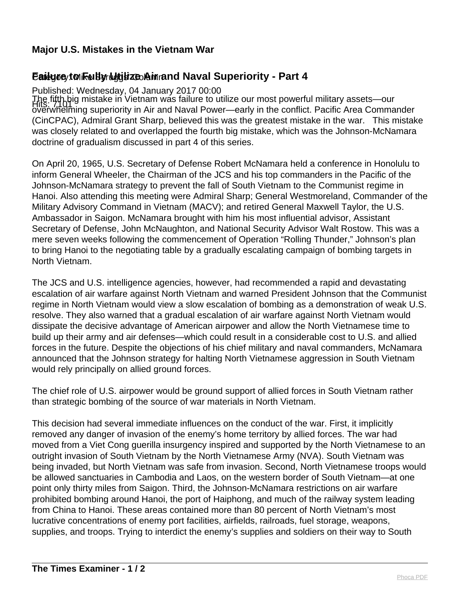## **Major U.S. Mistakes in the Vietnam War**

## Eailyoe/tolike Byrlytjuze Ainrand Naval Superiority - Part 4

Published: Wednesday, 04 January 2017 00:00

The fifth big mistake in Vietnam was failure to utilize our most powerful military assets—our<br>Hits: 7101ming ourorierity in Air and Novel Douer – early in the conflict. Docific Area Commo overwhelming superiority in Air and Naval Power—early in the conflict. Pacific Area Commander (CinCPAC), Admiral Grant Sharp, believed this was the greatest mistake in the war. This mistake was closely related to and overlapped the fourth big mistake, which was the Johnson-McNamara doctrine of gradualism discussed in part 4 of this series.

On April 20, 1965, U.S. Secretary of Defense Robert McNamara held a conference in Honolulu to inform General Wheeler, the Chairman of the JCS and his top commanders in the Pacific of the Johnson-McNamara strategy to prevent the fall of South Vietnam to the Communist regime in Hanoi. Also attending this meeting were Admiral Sharp; General Westmoreland, Commander of the Military Advisory Command in Vietnam (MACV); and retired General Maxwell Taylor, the U.S. Ambassador in Saigon. McNamara brought with him his most influential advisor, Assistant Secretary of Defense, John McNaughton, and National Security Advisor Walt Rostow. This was a mere seven weeks following the commencement of Operation "Rolling Thunder," Johnson's plan to bring Hanoi to the negotiating table by a gradually escalating campaign of bombing targets in North Vietnam.

The JCS and U.S. intelligence agencies, however, had recommended a rapid and devastating escalation of air warfare against North Vietnam and warned President Johnson that the Communist regime in North Vietnam would view a slow escalation of bombing as a demonstration of weak U.S. resolve. They also warned that a gradual escalation of air warfare against North Vietnam would dissipate the decisive advantage of American airpower and allow the North Vietnamese time to build up their army and air defenses—which could result in a considerable cost to U.S. and allied forces in the future. Despite the objections of his chief military and naval commanders, McNamara announced that the Johnson strategy for halting North Vietnamese aggression in South Vietnam would rely principally on allied ground forces.

The chief role of U.S. airpower would be ground support of allied forces in South Vietnam rather than strategic bombing of the source of war materials in North Vietnam.

This decision had several immediate influences on the conduct of the war. First, it implicitly removed any danger of invasion of the enemy's home territory by allied forces. The war had moved from a Viet Cong guerilla insurgency inspired and supported by the North Vietnamese to an outright invasion of South Vietnam by the North Vietnamese Army (NVA). South Vietnam was being invaded, but North Vietnam was safe from invasion. Second, North Vietnamese troops would be allowed sanctuaries in Cambodia and Laos, on the western border of South Vietnam—at one point only thirty miles from Saigon. Third, the Johnson-McNamara restrictions on air warfare prohibited bombing around Hanoi, the port of Haiphong, and much of the railway system leading from China to Hanoi. These areas contained more than 80 percent of North Vietnam's most lucrative concentrations of enemy port facilities, airfields, railroads, fuel storage, weapons, supplies, and troops. Trying to interdict the enemy's supplies and soldiers on their way to South